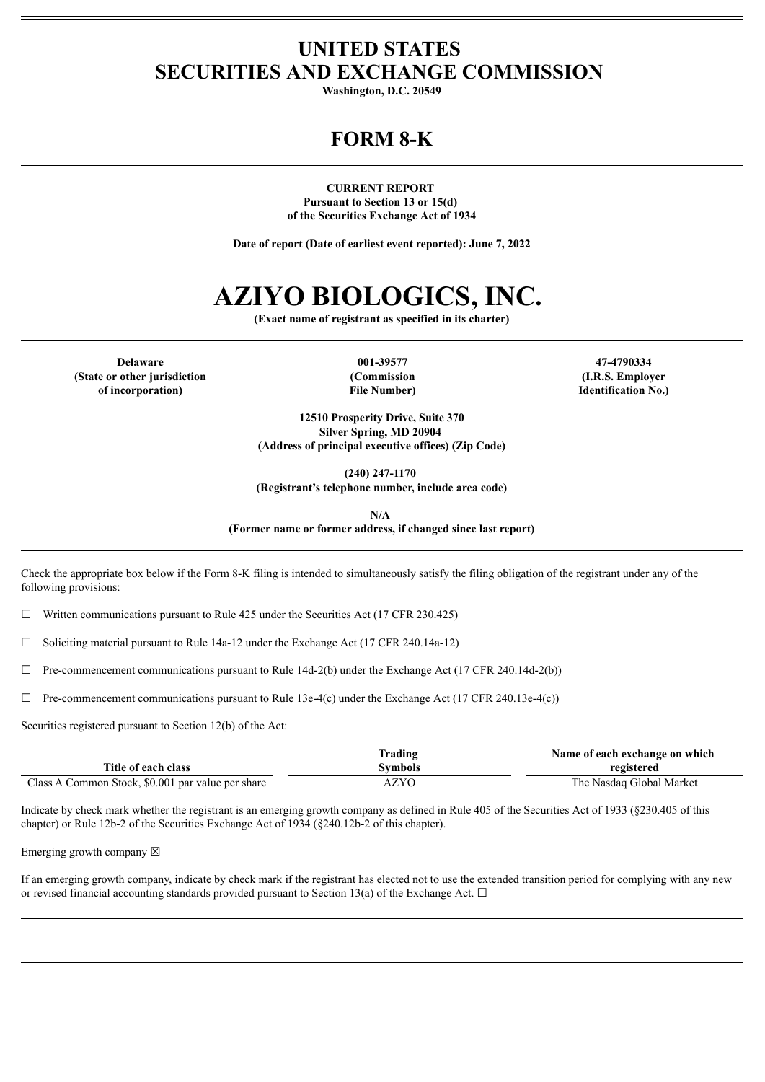### **UNITED STATES SECURITIES AND EXCHANGE COMMISSION**

**Washington, D.C. 20549**

## **FORM 8-K**

**CURRENT REPORT Pursuant to Section 13 or 15(d) of the Securities Exchange Act of 1934**

**Date of report (Date of earliest event reported): June 7, 2022**

# **AZIYO BIOLOGICS, INC.**

**(Exact name of registrant as specified in its charter)**

**Delaware 001-39577 47-4790334 (State or other jurisdiction of incorporation)**

**(Commission File Number)**

**(I.R.S. Employer Identification No.)**

**12510 Prosperity Drive, Suite 370 Silver Spring, MD 20904 (Address of principal executive offices) (Zip Code)**

**(240) 247-1170**

**(Registrant's telephone number, include area code)**

**N/A**

**(Former name or former address, if changed since last report)**

Check the appropriate box below if the Form 8-K filing is intended to simultaneously satisfy the filing obligation of the registrant under any of the following provisions:

 $\Box$  Written communications pursuant to Rule 425 under the Securities Act (17 CFR 230.425)

 $\Box$  Soliciting material pursuant to Rule 14a-12 under the Exchange Act (17 CFR 240.14a-12)

 $\Box$  Pre-commencement communications pursuant to Rule 14d-2(b) under the Exchange Act (17 CFR 240.14d-2(b))

 $\Box$  Pre-commencement communications pursuant to Rule 13e-4(c) under the Exchange Act (17 CFR 240.13e-4(c))

Securities registered pursuant to Section 12(b) of the Act:

|                                                   | Trading     | Name of each exchange on which |
|---------------------------------------------------|-------------|--------------------------------|
| Title of each class                               | Svmbols     | registered                     |
| Class A Common Stock, \$0.001 par value per share | <b>AZYO</b> | The Nasdaq Global Market       |

Indicate by check mark whether the registrant is an emerging growth company as defined in Rule 405 of the Securities Act of 1933 (§230.405 of this chapter) or Rule 12b-2 of the Securities Exchange Act of 1934 (§240.12b-2 of this chapter).

Emerging growth company  $\boxtimes$ 

If an emerging growth company, indicate by check mark if the registrant has elected not to use the extended transition period for complying with any new or revised financial accounting standards provided pursuant to Section 13(a) of the Exchange Act.  $\Box$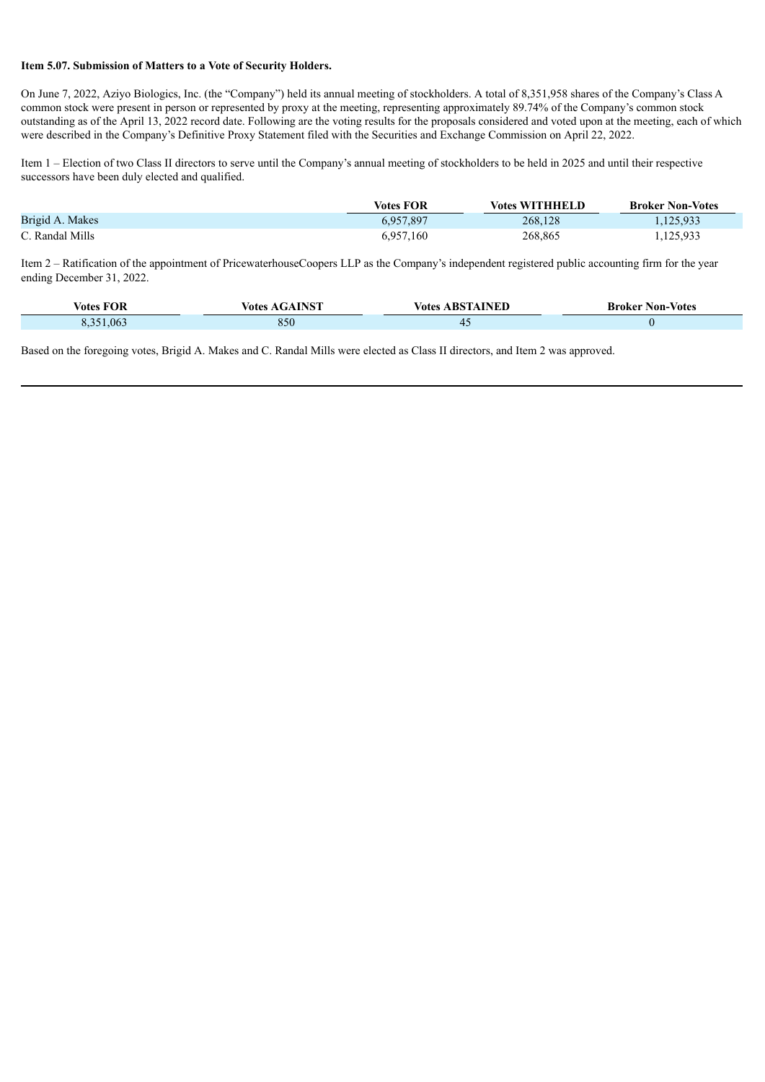### **Item 5.07. Submission of Matters to a Vote of Security Holders.**

On June 7, 2022, Aziyo Biologics, Inc. (the "Company") held its annual meeting of stockholders. A total of 8,351,958 shares of the Company's Class A common stock were present in person or represented by proxy at the meeting, representing approximately 89.74% of the Company's common stock outstanding as of the April 13, 2022 record date. Following are the voting results for the proposals considered and voted upon at the meeting, each of which were described in the Company's Definitive Proxy Statement filed with the Securities and Exchange Commission on April 22, 2022.

Item 1 – Election of two Class II directors to serve until the Company's annual meeting of stockholders to be held in 2025 and until their respective successors have been duly elected and qualified.

|                 | <b>Votes FOR</b> | <b>Votes WITHHELD</b> | <b>Broker Non-Votes</b> |
|-----------------|------------------|-----------------------|-------------------------|
| Brigid A. Makes | 6,957,897        | 268,128               | 1,125,933               |
| C. Randal Mills | 6,957,160        | 268,865               | 1,125,933               |

Item 2 – Ratification of the appointment of PricewaterhouseCoopers LLP as the Company's independent registered public accounting firm for the year ending December 31, 2022.

| <b>FOR</b><br>- -<br><b>Votes</b> | <b>INICT</b><br>votes | <b>INED</b><br>. RS<br>Votes | <b>Broker Non-Votes</b> |
|-----------------------------------|-----------------------|------------------------------|-------------------------|
| 06<br>$\rightarrow$               | 850                   |                              |                         |

Based on the foregoing votes, Brigid A. Makes and C. Randal Mills were elected as Class II directors, and Item 2 was approved.